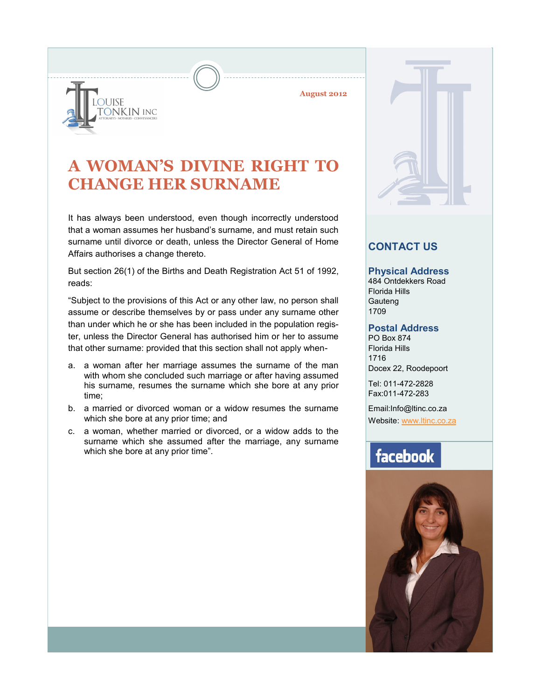**August 2012**



**A WOMAN'S DIVINE RIGHT TO CHANGE HER SURNAME**

It has always been understood, even though incorrectly understood that a woman assumes her husband's surname, and must retain such surname until divorce or death, unless the Director General of Home Affairs authorises a change thereto.

But section 26(1) of the Births and Death Registration Act 51 of 1992, reads:

"Subject to the provisions of this Act or any other law, no person shall assume or describe themselves by or pass under any surname other than under which he or she has been included in the population register, unless the Director General has authorised him or her to assume that other surname: provided that this section shall not apply when-

- a. a woman after her marriage assumes the surname of the man with whom she concluded such marriage or after having assumed his surname, resumes the surname which she bore at any prior time;
- b. a married or divorced woman or a widow resumes the surname which she bore at any prior time; and
- c. a woman, whether married or divorced, or a widow adds to the surname which she assumed after the marriage, any surname which she bore at any prior time".



### **CONTACT US**

#### **Physical Address**

484 Ontdekkers Road Florida Hills **Gauteng** 1709

#### **Postal Address**

PO Box 874 Florida Hills 1716 Docex 22, Roodepoort

Tel: 011-472-2828 Fax:011-472-283

Email:Info@ltinc.co.za

Website: [www.ltinc.co.za](http://www.btjs.co.za/)

# facebook